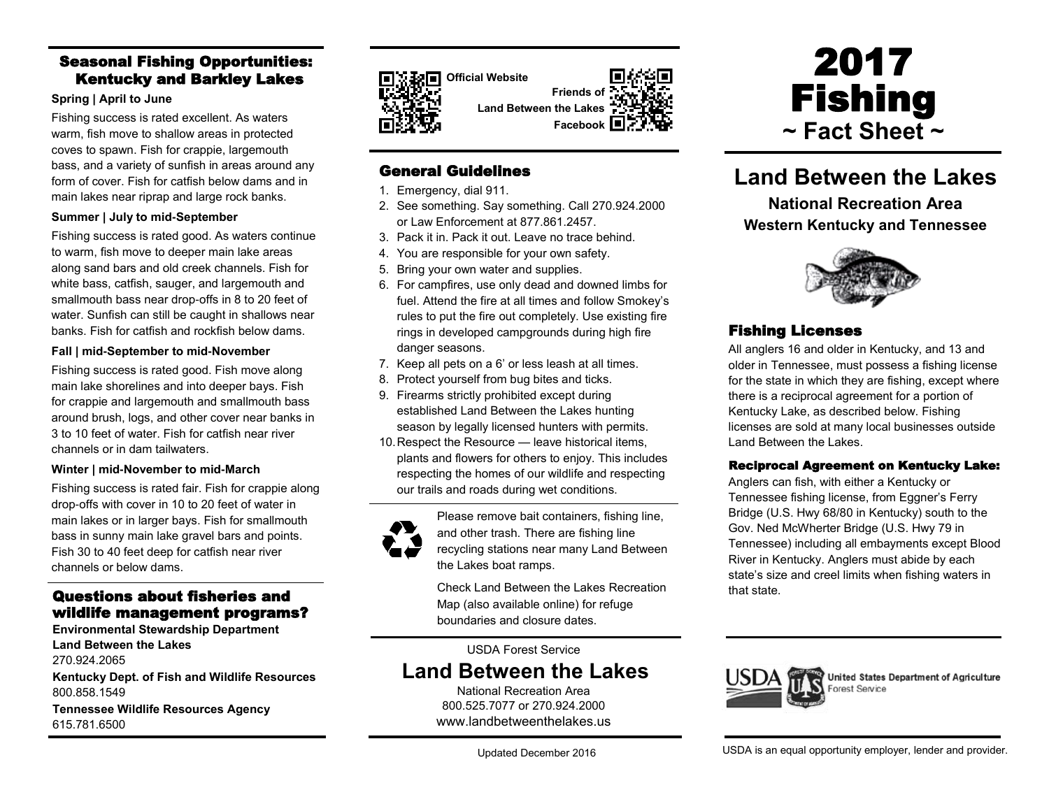## Seasonal Fishing Opportunities: Kentucky and Barkley Lakes

#### **Spring | April to June**

Fishing success is rated excellent. As waters warm, fish move to shallow areas in protected coves to spawn. Fish for crappie, largemouth bass, and a variety of sunfish in areas around any form of cover. Fish for catfish below dams and in main lakes near riprap and large rock banks.

#### **Summer | July to mid-September**

Fishing success is rated good. As waters continue to warm, fish move to deeper main lake areas along sand bars and old creek channels. Fish for white bass, catfish, sauger, and largemouth and smallmouth bass near drop-offs in 8 to 20 feet of water. Sunfish can still be caught in shallows near banks. Fish for catfish and rockfish below dams.

#### **Fall | mid-September to mid-November**

Fishing success is rated good. Fish move along main lake shorelines and into deeper bays. Fish for crappie and largemouth and smallmouth bass around brush, logs, and other cover near banks in 3 to 10 feet of water. Fish for catfish near river channels or in dam tailwaters.

### **Winter | mid-November to mid-March**

Fishing success is rated fair. Fish for crappie along drop-offs with cover in 10 to 20 feet of water in main lakes or in larger bays. Fish for smallmouth bass in sunny main lake gravel bars and points. Fish 30 to 40 feet deep for catfish near river channels or below dams.

### Questions about fisheries and wildlife management programs?

**Environmental Stewardship Department Land Between the Lakes** 270.924.2065

**Kentucky Dept. of Fish and Wildlife Resources** 800.858.1549

**Tennessee Wildlife Resources Agency** 615.781.6500



**Official Website Friends of** 

**Land Between the Lakes**

**Facebook**

### General Guidelines

- 1. Emergency, dial 911.
- 2. See something. Say something. Call 270.924.2000 or Law Enforcement at 877.861.2457.
- 3. Pack it in. Pack it out. Leave no trace behind.
- 4. You are responsible for your own safety.
- 5. Bring your own water and supplies.
- 6. For campfires, use only dead and downed limbs for fuel. Attend the fire at all times and follow Smokey's rules to put the fire out completely. Use existing fire rings in developed campgrounds during high fire danger seasons.
- 7. Keep all pets on a 6' or less leash at all times.
- 8. Protect yourself from bug bites and ticks.
- 9. Firearms strictly prohibited except during established Land Between the Lakes hunting season by legally licensed hunters with permits.
- 10.Respect the Resource leave historical items, plants and flowers for others to enjoy. This includes respecting the homes of our wildlife and respecting our trails and roads during wet conditions.



Please remove bait containers, fishing line, and other trash. There are fishing line recycling stations near many Land Between the Lakes boat ramps.

Check Land Between the Lakes Recreation Map (also available online) for refuge boundaries and closure dates.

USDA Forest Service

# **Land Between the Lakes**

National Recreation Area 800.525.7077 or 270.924.2000 www.landbetweenthelakes.us



# **Land Between the Lakes**

**National Recreation Area Western Kentucky and Tennessee**



## Fishing Licenses

All anglers 16 and older in Kentucky, and 13 and older in Tennessee, must possess a fishing license for the state in which they are fishing, except where there is a reciprocal agreement for a portion of Kentucky Lake, as described below. Fishing licenses are sold at many local businesses outside Land Between the Lakes.

### Reciprocal Agreement on Kentucky Lake:

Anglers can fish, with either a Kentucky or Tennessee fishing license, from Eggner's Ferry Bridge (U.S. Hwy 68/80 in Kentucky) south to the Gov. Ned McWherter Bridge (U.S. Hwy 79 in Tennessee) including all embayments except Blood River in Kentucky. Anglers must abide by each state's size and creel limits when fishing waters in that state.



United States Department of Agriculture Forest Service

USDA is an equal opportunity employer, lender and provider.